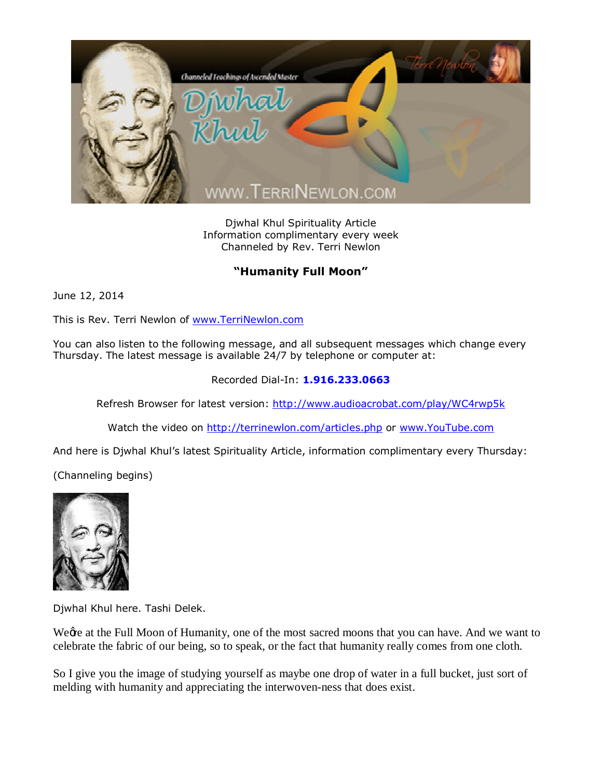

Djwhal Khul Spirituality Article Information complimentary every week Channeled by Rev. Terri Newlon

## **"Humanity Full Moon"**

June 12, 2014

This is Rev. Terri Newlon of [www.TerriNewlon.com](http://www.terrinewlon.com/)

You can also listen to the following message, and all subsequent messages which change every Thursday. The latest message is available 24/7 by telephone or computer at:

## Recorded Dial-In: **1.916.233.0663**

Refresh Browser for latest version: <http://www.audioacrobat.com/play/WC4rwp5k>

Watch the video on <http://terrinewlon.com/articles.php> or [www.YouTube.com](http://www.youtube.com/)

And here is Djwhal Khul's latest Spirituality Article, information complimentary every Thursday:

(Channeling begins)



Djwhal Khul here. Tashi Delek.

Wegre at the Full Moon of Humanity, one of the most sacred moons that you can have. And we want to celebrate the fabric of our being, so to speak, or the fact that humanity really comes from one cloth.

So I give you the image of studying yourself as maybe one drop of water in a full bucket, just sort of melding with humanity and appreciating the interwoven-ness that does exist.